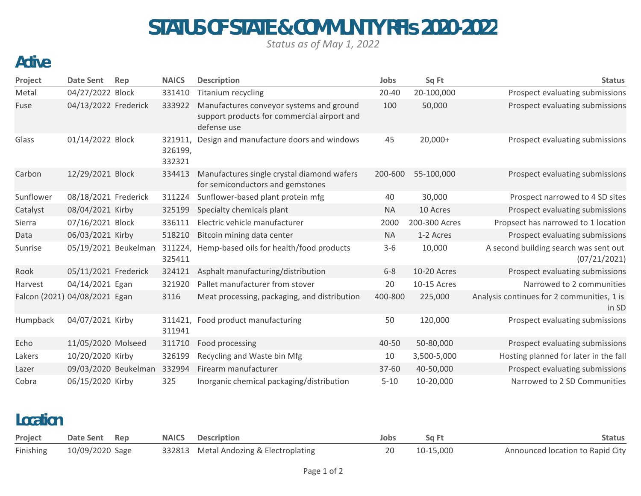# STATUS OF STATE & COMMUNITY RFIs 2020-2022

*Status as of May 1, 2022*

### Active

| Project                       | <b>Date Sent</b>     | Rep | <b>NAICS</b>                 | <b>Description</b>                                                                                     | Jobs      | Sq Ft         | <b>Status</b>                                         |
|-------------------------------|----------------------|-----|------------------------------|--------------------------------------------------------------------------------------------------------|-----------|---------------|-------------------------------------------------------|
| Metal                         | 04/27/2022 Block     |     | 331410                       | <b>Titanium recycling</b>                                                                              | $20 - 40$ | 20-100,000    | Prospect evaluating submissions                       |
| Fuse                          | 04/13/2022 Frederick |     | 333922                       | Manufactures conveyor systems and ground<br>support products for commercial airport and<br>defense use | 100       | 50,000        | Prospect evaluating submissions                       |
| Glass                         | 01/14/2022 Block     |     | 321911,<br>326199,<br>332321 | Design and manufacture doors and windows                                                               | 45        | $20,000+$     | Prospect evaluating submissions                       |
| Carbon                        | 12/29/2021 Block     |     | 334413                       | Manufactures single crystal diamond wafers<br>for semiconductors and gemstones                         | 200-600   | 55-100,000    | Prospect evaluating submissions                       |
| Sunflower                     | 08/18/2021 Frederick |     | 311224                       | Sunflower-based plant protein mfg                                                                      | 40        | 30,000        | Prospect narrowed to 4 SD sites                       |
| Catalyst                      | 08/04/2021 Kirby     |     | 325199                       | Specialty chemicals plant                                                                              | <b>NA</b> | 10 Acres      | Prospect evaluating submissions                       |
| Sierra                        | 07/16/2021 Block     |     | 336111                       | Electric vehicle manufacturer                                                                          | 2000      | 200-300 Acres | Propsect has narrowed to 1 location                   |
| Data                          | 06/03/2021 Kirby     |     | 518210                       | Bitcoin mining data center                                                                             | <b>NA</b> | 1-2 Acres     | Prospect evaluating submissions                       |
| Sunrise                       | 05/19/2021 Beukelman |     | 311224,<br>325411            | Hemp-based oils for health/food products                                                               | $3 - 6$   | 10,000        | A second building search was sent out<br>(07/21/2021) |
| Rook                          | 05/11/2021 Frederick |     | 324121                       | Asphalt manufacturing/distribution                                                                     | $6 - 8$   | 10-20 Acres   | Prospect evaluating submissions                       |
| Harvest                       | 04/14/2021 Egan      |     | 321920                       | Pallet manufacturer from stover                                                                        | 20        | 10-15 Acres   | Narrowed to 2 communities                             |
| Falcon (2021) 04/08/2021 Egan |                      |     | 3116                         | Meat processing, packaging, and distribution                                                           | 400-800   | 225,000       | Analysis continues for 2 communities, 1 is<br>in SD   |
| Humpback                      | 04/07/2021 Kirby     |     | 311421,<br>311941            | Food product manufacturing                                                                             | 50        | 120,000       | Prospect evaluating submissions                       |
| Echo                          | 11/05/2020 Molseed   |     | 311710                       | Food processing                                                                                        | 40-50     | 50-80,000     | Prospect evaluating submissions                       |
| Lakers                        | 10/20/2020 Kirby     |     | 326199                       | Recycling and Waste bin Mfg                                                                            | 10        | 3,500-5,000   | Hosting planned for later in the fall                 |
| Lazer                         | 09/03/2020 Beukelman |     | 332994                       | Firearm manufacturer                                                                                   | 37-60     | 40-50,000     | Prospect evaluating submissions                       |
| Cobra                         | 06/15/2020 Kirby     |     | 325                          | Inorganic chemical packaging/distribution                                                              | $5 - 10$  | 10-20,000     | Narrowed to 2 SD Communities                          |

#### Location

| Project | Date Sent Rep             | <b>NAICS</b> Description               | Jobs | Sq Ft        | Status                           |
|---------|---------------------------|----------------------------------------|------|--------------|----------------------------------|
|         | Finishing 10/09/2020 Sage | 332813 Metal Andozing & Electroplating |      | 20 10-15,000 | Announced location to Rapid City |